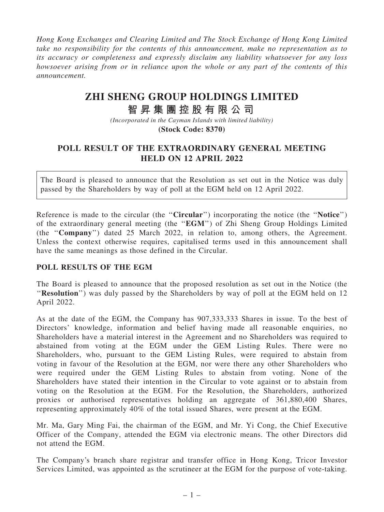*Hong Kong Exchanges and Clearing Limited and The Stock Exchange of Hong Kong Limited take no responsibility for the contents of this announcement, make no representation as to its accuracy or completeness and expressly disclaim any liability whatsoever for any loss howsoever arising from or in reliance upon the whole or any part of the contents of this announcement.*

## **ZHI SHENG GROUP HOLDINGS LIMITED**

## **智 昇 集 團 控 股 有 限 公 司**

*(Incorporated in the Cayman Islands with limited liability)* **(Stock Code: 8370)**

## POLL RESULT OF THE EXTRAORDINARY GENERAL MEETING HELD ON 12 APRIL 2022

The Board is pleased to announce that the Resolution as set out in the Notice was duly passed by the Shareholders by way of poll at the EGM held on 12 April 2022.

Reference is made to the circular (the "Circular") incorporating the notice (the "Notice") of the extraordinary general meeting (the ''EGM'') of Zhi Sheng Group Holdings Limited (the ''Company'') dated 25 March 2022, in relation to, among others, the Agreement. Unless the context otherwise requires, capitalised terms used in this announcement shall have the same meanings as those defined in the Circular.

## POLL RESULTS OF THE EGM

The Board is pleased to announce that the proposed resolution as set out in the Notice (the "Resolution") was duly passed by the Shareholders by way of poll at the EGM held on 12 April 2022.

As at the date of the EGM, the Company has 907,333,333 Shares in issue. To the best of Directors' knowledge, information and belief having made all reasonable enquiries, no Shareholders have a material interest in the Agreement and no Shareholders was required to abstained from voting at the EGM under the GEM Listing Rules. There were no Shareholders, who, pursuant to the GEM Listing Rules, were required to abstain from voting in favour of the Resolution at the EGM, nor were there any other Shareholders who were required under the GEM Listing Rules to abstain from voting. None of the Shareholders have stated their intention in the Circular to vote against or to abstain from voting on the Resolution at the EGM. For the Resolution, the Shareholders, authorized proxies or authorised representatives holding an aggregate of 361,880,400 Shares, representing approximately 40% of the total issued Shares, were present at the EGM.

Mr. Ma, Gary Ming Fai, the chairman of the EGM, and Mr. Yi Cong, the Chief Executive Officer of the Company, attended the EGM via electronic means. The other Directors did not attend the EGM.

The Company's branch share registrar and transfer office in Hong Kong, Tricor Investor Services Limited, was appointed as the scrutineer at the EGM for the purpose of vote-taking.